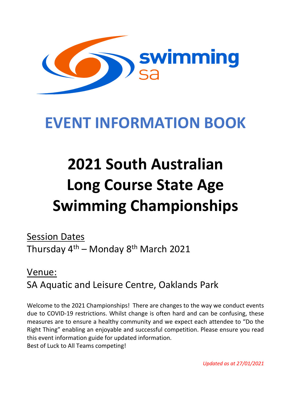

# **EVENT INFORMATION BOOK**

# **2021 South Australian Long Course State Age Swimming Championships**

Session Dates Thursday  $4<sup>th</sup>$  – Monday  $8<sup>th</sup>$  March 2021

# Venue: SA Aquatic and Leisure Centre, Oaklands Park

Welcome to the 2021 Championships! There are changes to the way we conduct events due to COVID-19 restrictions. Whilst change is often hard and can be confusing, these measures are to ensure a healthy community and we expect each attendee to "Do the Right Thing" enabling an enjoyable and successful competition. Please ensure you read this event information guide for updated information. Best of Luck to All Teams competing!

*Updated as at 27/01/2021*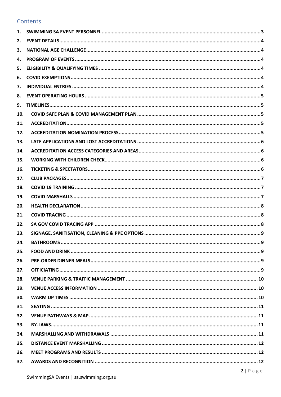# Contents

| 1.  |  |
|-----|--|
| 2.  |  |
| 3.  |  |
| 4.  |  |
| 5.  |  |
| 6.  |  |
| 7.  |  |
| 8.  |  |
| 9.  |  |
| 10. |  |
| 11. |  |
| 12. |  |
| 13. |  |
| 14. |  |
| 15. |  |
| 16. |  |
| 17. |  |
| 18. |  |
| 19. |  |
| 20. |  |
| 21. |  |
| 22. |  |
| 23. |  |
| 24. |  |
| 25. |  |
| 26. |  |
| 27. |  |
| 28. |  |
| 29. |  |
| 30. |  |
| 31. |  |
| 32. |  |
| 33. |  |
| 34. |  |
| 35. |  |
| 36. |  |
| 37. |  |
|     |  |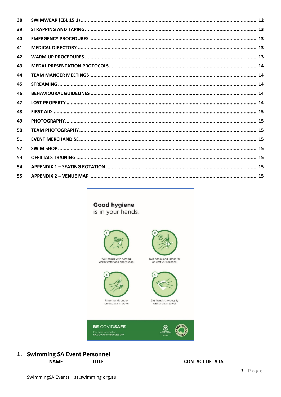

# <span id="page-2-0"></span>1. Swimming SA Event Personnel

| <b>NAME</b><br> | . | <b>CT DETAILS</b> |
|-----------------|---|-------------------|
|-----------------|---|-------------------|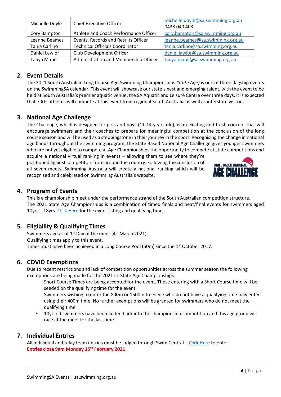| Michelle Doyle | <b>Chief Executive Officer</b>         | michelle.doyle@sa.swimming.org.au |  |
|----------------|----------------------------------------|-----------------------------------|--|
|                |                                        | 0438 040 403                      |  |
| Cory Bampton   | Athlete and Coach Performance Officer  | cory.bampton@sa.swimming.org.au   |  |
| Leanne Beames  | Events, Records and Results Officer    | leanne.beames@sa.swimming.org.au  |  |
| Tania Carlino  | <b>Technical Officials Coordinator</b> | tania.carlino@sa.swimming.org.au  |  |
| Daniel Lawlor  | Club Development Officer               | daniel.lawlor@sa.swimming.org.au  |  |
| Tanya Matic    | Administration and Membership Officer  | tanya.matic@sa.swimming.org.au    |  |

# <span id="page-3-0"></span>**2. Event Details**

The 2021 South Australian Long Course Age Swimming Championships *(State Age)* is one of three flagship events on the SwimmingSA calendar. This event will showcase our state's best and emerging talent, with the event to be held at South Australia's premier aquatic venue, the SA Aquatic and Leisure Centre over three days. It is expected that 700+ athletes will compete at this event from regional South Australia as well as interstate visitors.

# <span id="page-3-1"></span>**3. National Age Challenge**

The Challenge, which is designed for girls and boys (11-14 years old), is an exciting and fresh concept that will encourage swimmers and their coaches to prepare for meaningful competition at the conclusion of the long course season and will be used as a steppingstone in their journey in the sport. Recognising the change in national age bands throughout the swimming program, the State Based National Age Challenge gives younger swimmers who are not yet eligible to compete at Age Championships the opportunity to compete at state competitions and

acquire a national virtual ranking in events – allowing them to see where they're positioned against competitors from around the country. Following the conclusion of all seven meets, Swimming Australia will create a national ranking which will be recognised and celebrated on Swimming Australia's website.



# <span id="page-3-2"></span>**4. Program of Events**

This is a championship meet under the performance strand of the South Australian competition structure. The 2021 State Age Championships is a combination of timed finals and heat/final events for swimmers aged 10yrs - 18yrs[. Click Here](https://edit-sa.swimming.org.au/sites/default/files/assets/documents/Event%20List%20%26%20Qualifying%20Times.pdf) for the event listing and qualifying times.

# <span id="page-3-3"></span>**5. Eligibility & Qualifying Times**

Swimmers age as at  $1^{st}$  Day of the meet ( $4^{th}$  March 2021). Qualifying times apply to this event. Times must have been achieved in a Long Course Pool (50m) since the 1<sup>st</sup> October 2017.

# <span id="page-3-4"></span>**6. COVID Exemptions**

Due to recent restrictions and lack of competition opportunities across the summer season the following exemptions are being made for the 2021 LC State Age Championships:

Short Course Times are being accepted for the event. Those entering with a Short Course time will be seeded on the qualifying time for the event.

Swimmers wishing to enter the 800m or 1500m freestyle who do not have a qualifying time may enter using their 400m time. No further exemptions will be granted for swimmers who do not meet the qualifying time.

 10yr old swimmers have been added back into the championship competition and this age group will race at the meet for the last time.

# <span id="page-3-5"></span>**7. Individual Entries**

All individual and relay team entries must be lodged through Swim Central - [Click Here](https://swimcentral.swimming.org.au/bounce?returnUrl=%2Fevents%2F96161179-71e9-41da-91bd-c02212cf2a45%2Fnominations) to enter **Entries close 9am Monday 15th February 2021**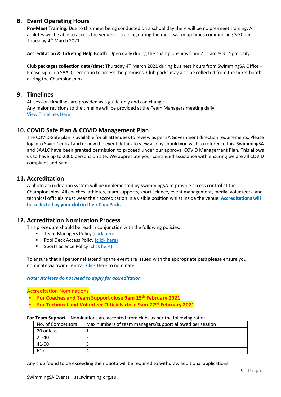# <span id="page-4-0"></span>**8. Event Operating Hours**

**Pre-Meet Training:** Due to this meet being conducted on a school day there will be no pre-meet training. All athletes will be able to access the venue for training during the meet warm up times commencing 3:30pm Thursday 4<sup>th</sup> March 2021.

**Accreditation & Ticketing Help Booth**: Open daily during the championships from 7:15am & 3:15pm daily.

**Club packages collection date/time:** Thursday 4th March 2021 during business hours from SwimmingSA Office – Please sign in a SAALC reception to access the premises. Club packs may also be collected from the ticket booth during the Championships.

# <span id="page-4-1"></span>**9. Timelines**

All session timelines are provided as a guide only and can change. Any major revisions to the timeline will be provided at the Team Managers meeting daily. [View Timelines Here](https://sa.swimming.org.au/events/202021-sa-state-age-lc-championships)

# <span id="page-4-2"></span>**10. COVID Safe Plan & COVID Management Plan**

The COVID-Safe plan is available for all attendees to review as per SA Government direction requirements. Please log into Swim Central and review the event details to view a copy should you wish to reference this. SwimmingSA and SAALC have been granted permission to proceed under our approval COVID Management Plan. This allows us to have up to 2000 persons on site. We appreciate your continued assistance with ensuring we are all COVID compliant and Safe.

# <span id="page-4-3"></span>**11. Accreditation**

A photo accreditation system will be implemented by SwimmingSA to provide access control at the Championships. All coaches, athletes, team supports, sport science, event management, media, volunteers, and technical officials must wear their accreditation in a visible position whilst inside the venue. **Accreditations will be collected by your club in their Club Pack.**

# <span id="page-4-4"></span>**12. Accreditation Nomination Process**

This procedure should be read in conjunction with the following policies:

- **Team Managers Policy [\(click here\)](https://sa.swimming.org.au/sites/default/files/assets/documents/5002%20-%20Club%20Team%20Manager%20Policy%20-%2027%2006%202016.pdf)**
- **Pool Deck Access Policy [\(click here\)](https://sa.swimming.org.au/sites/default/files/assets/documents/5012%20-%20Pool%20Deck%20Access%20Policy%20-%2025%2008%202017.pdf)**
- **Sports Science Policy [\(click here\)](https://sa.swimming.org.au/sites/default/files/assets/documents/5017%20-%20Sports%20Science%20Sports%20Medicine%20Policy%20-%2009%2012%202016.pdf)**

To ensure that all personnel attending the event are issued with the appropriate pass please ensure you nominate via Swim Central. [Click Here](https://swimcentral.swimming.org.au/events/96161179-71e9-41da-91bd-c02212cf2a45/positions) to nominate.

#### *Note: Athletes do not need to apply for accreditation*

#### Accreditation Nominations

- **For Coaches and Team Support close 9am 15th February 2021**
- **For Technical and Volunteer Officials close 9am 22nd February 2021**

#### **For Team Support –** Nominations are accepted from clubs as per the following ratio:

| No. of Competitors | Max numbers of team managers/support allowed per session |
|--------------------|----------------------------------------------------------|
| 20 or less         |                                                          |
| $21 - 40$          |                                                          |
| 41-60              |                                                          |
| $61+$              |                                                          |

Any club found to be exceeding their quota will be required to withdraw additional applications.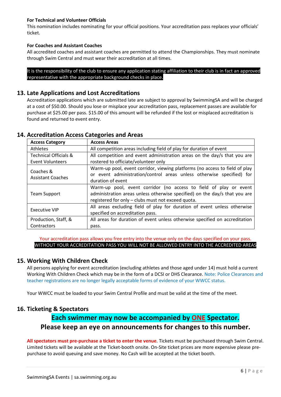# **For Technical and Volunteer Officials**

This nomination includes nominating for your official positions. Your accreditation pass replaces your officials' ticket.

# **For Coaches and Assistant Coaches**

All accredited coaches and assistant coaches are permitted to attend the Championships. They must nominate through Swim Central and must wear their accreditation at all times.

It is the responsibility of the club to ensure any application stating affiliation to their club is in fact an approved representative with the appropriate background checks in place.

# <span id="page-5-0"></span>**13. Late Applications and Lost Accreditations**

Accreditation applications which are submitted late are subject to approval by SwimmingSA and will be charged at a cost of \$50.00. Should you lose or misplace your accreditation pass, replacement passes are available for purchase at \$25.00 per pass. \$15.00 of this amount will be refunded if the lost or misplaced accreditation is found and returned to event entry.

# <span id="page-5-1"></span>**14. Accreditation Access Categories and Areas**

| <b>Access Category</b>                | <b>Access Areas</b>                                                                                                                                                                                   |
|---------------------------------------|-------------------------------------------------------------------------------------------------------------------------------------------------------------------------------------------------------|
| Athletes                              | All competition areas including field of play for duration of event                                                                                                                                   |
| <b>Technical Officials &amp;</b>      | All competition and event administration areas on the day/s that you are                                                                                                                              |
| <b>Event Volunteers</b>               | rostered to officiate/volunteer only                                                                                                                                                                  |
| Coaches &<br><b>Assistant Coaches</b> | Warm-up pool, event corridor, viewing platforms (no access to field of play<br>or event administration/control areas unless otherwise specified) for<br>duration of event                             |
| Team Support                          | Warm-up pool, event corridor (no access to field of play or event<br>administration areas unless otherwise specified) on the day/s that you are<br>registered for only - clubs must not exceed quota. |
| <b>Executive VIP</b>                  | All areas excluding field of play for duration of event unless otherwise<br>specified on accreditation pass.                                                                                          |
| Production, Staff, &                  | All areas for duration of event unless otherwise specified on accreditation                                                                                                                           |
| Contractors                           | pass.                                                                                                                                                                                                 |

Your accreditation pass allows you free entry into the venue only on the days specified on your pass. WITHOUT YOUR ACCREDITATION PASS YOU WILL NOT BE ALLOWED ENTRY INTO THE ACCREDITED AREAS

# <span id="page-5-2"></span>**15. Working With Children Check**

All persons applying for event accreditation (excluding athletes and those aged under 14) must hold a current Working With Children Check which may be in the form of a DCSI or DHS Clearance. Note: Police Clearances and teacher registrations are no longer legally acceptable forms of evidence of your WWCC status.

Your WWCC must be loaded to your Swim Central Profile and must be valid at the time of the meet.

# <span id="page-5-3"></span>**16. Ticketing & Spectators**

# **Each swimmer may now be accompanied by ONE Spectator. Please keep an eye on announcements for changes to this number.**

**All spectators must pre-purchase a ticket to enter the venue**. Tickets must be purchased through Swim Central. Limited tickets will be available at the Ticket-booth onsite. On-Site ticket prices are more expensive please prepurchase to avoid queuing and save money. No Cash will be accepted at the ticket booth.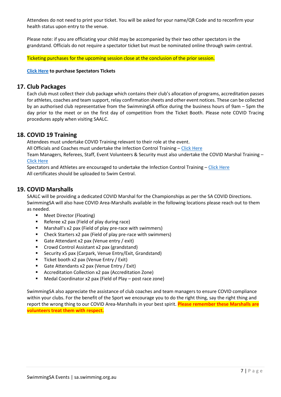Attendees do not need to print your ticket. You will be asked for your name/QR Code and to reconfirm your health status upon entry to the venue.

Please note: if you are officiating your child may be accompanied by their two other spectators in the grandstand. Officials do not require a spectator ticket but must be nominated online through swim central.

Ticketing purchases for the upcoming session close at the conclusion of the prior session.

# **[Click Here](https://swimcentral.swimming.org.au/bounce?returnUrl=%2Fevents%2F96161179-71e9-41da-91bd-c02212cf2a45%2Ftickets) to purchase Spectators Tickets**

# <span id="page-6-0"></span>**17. Club Packages**

Each club must collect their club package which contains their club's allocation of programs, accreditation passes for athletes, coaches and team support, relay confirmation sheets and other event notices. These can be collected by an authorised club representative from the SwimmingSA office during the business hours of 9am – 5pm the day prior to the meet or on the first day of competition from the Ticket Booth. Please note COVID Tracing procedures apply when visiting SAALC.

# <span id="page-6-1"></span>**18. COVID 19 Training**

Attendees must undertake COVID Training relevant to their role at the event.

All Officials and Coaches must undertake the Infection Control Training – [Click Here](https://www.health.gov.au/resources/apps-and-tools/covid-19-infection-control-training)

Team Managers, Referees, Staff, Event Volunteers & Security must also undertake the COVID Marshal Training – [Click Here](https://marshal.clickontraining.com.au/)

Spectators and Athletes are encouraged to undertake the Infection Control Training – [Click Here](https://www.health.gov.au/resources/apps-and-tools/covid-19-infection-control-training) All certificates should be uploaded to Swim Central.

# <span id="page-6-2"></span>**19. COVID Marshalls**

SAALC will be providing a dedicated COVID Marshal for the Championships as per the SA COVID Directions. SwimmingSA will also have COVID Area-Marshalls available in the following locations please reach out to them as needed.

- **Neet Director (Floating)**
- Referee x2 pax (Field of play during race)
- Marshall's x2 pax (Field of play pre-race with swimmers)
- Check Starters x2 pax (Field of play pre-race with swimmers)
- Gate Attendant x2 pax (Venue entry / exit)
- Crowd Control Assistant x2 pax (grandstand)
- Security x5 pax (Carpark, Venue Entry/Exit, Grandstand)
- **Ticket booth x2 pax (Venue Entry / Exit)**
- Gate Attendants x2 pax (Venue Entry / Exit)
- Accreditation Collection x2 pax (Accreditation Zone)
- Medal Coordinator x2 pax (Field of Play post race zone)

SwimmingSA also appreciate the assistance of club coaches and team managers to ensure COVID compliance within your clubs. For the benefit of the Sport we encourage you to do the right thing, say the right thing and report the wrong thing to our COVID Area-Marshalls in your best spirit. **Please remember these Marshalls are volunteers treat them with respect.**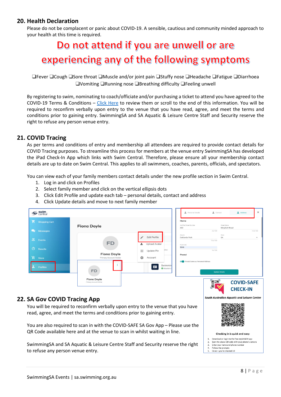# <span id="page-7-0"></span>**20. Health Declaration**

Please do not be complacent or panic about COVID-19. A sensible, cautious and community minded approach to your health at this time is required.

# Do not attend if you are unwell or are experiencing any of the following symptoms

❑Fever ❑Cough ❑Sore throat ❑Muscle and/or joint pain ❑Stuffy nose ❑Headache ❑Fatigue ❑Diarrhoea ❑Vomiting ❑Running nose ❑Breathing difficulty ❑Feeling unwell

By registering to swim, nominating to coach/officiate and/or purchasing a ticket to attend you have agreed to the COVID-19 Terms & Conditions – [Click Here](https://sa.swimming.org.au/sites/default/files/assets/documents/9004%20-%20Terms%20and%20Conditions%20Membership%20-%20COVID-19%20Addendum_0.pdf) to review them or scroll to the end of this information. You will be required to reconfirm verbally upon entry to the venue that you have read, agree, and meet the terms and conditions prior to gaining entry. SwimmingSA and SA Aquatic & Leisure Centre Staff and Security reserve the right to refuse any person venue entry.

# <span id="page-7-1"></span>**21. COVID Tracing**

As per terms and conditions of entry and membership all attendees are required to provide contact details for COVID Tracing purposes. To streamline this process for members at the venue entry SwimmingSA has developed the iPad Check-In App which links with Swim Central. Therefore, please ensure all your membership contact details are up to date on Swim Central. This applies to all swimmers, coaches, parents, officials, and spectators.

You can view each of your family members contact details under the new profile section in Swim Central.

- 1. Log in and click on Profiles
- 2. Select family member and click on the vertical ellipsis dots
- 3. Click Edit Profile and update each tab personal details, contact and address
- 4. Click Update details and move to next family member



# <span id="page-7-2"></span>**22. SA Gov COVID Tracing App**

You will be required to reconfirm verbally upon entry to the venue that you have read, agree, and meet the terms and conditions prior to gaining entry.

You are also required to scan in with the COVID-SAFE SA Gov App – Please use the QR Code available here and at the venue to scan in whilst waiting in line.

SwimmingSA and SA Aquatic & Leisure Centre Staff and Security reserve the right to refuse any person venue entry.



- $\overline{2}$ Scan the above QR code with your phone's camera Enter your name and phone number
- $\overline{a}$ Follow the prompts<br>Done – you're checked in
-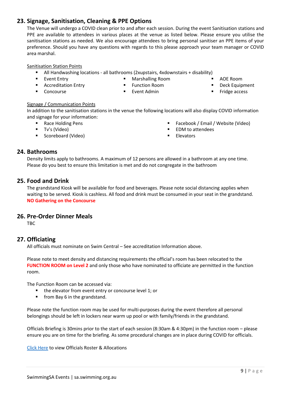# <span id="page-8-0"></span>**23. Signage, Sanitisation, Cleaning & PPE Options**

The Venue will undergo a COVID clean prior to and after each session. During the event Sanitisation stations and PPE are available to attendees in various places at the venue as listed below. Please ensure you utilise the sanitisation stations as needed. We also encourage attendees to bring personal sanitiser an PPE items of your preference. Should you have any questions with regards to this please approach your team manager or COVID area marshal.

Sanitisation Station Points

- All Handwashing locations all bathrooms (2xupstairs, 4xdownstairs + disability)
- **Event Entry**
- **Accreditation Entry**
- **-** Concourse
- Marshalling Room **Function Room**
- **Event Admin**
- AOE Room
- **•** Deck Equipment
- Fridge access

# Signage / Communication Points

In addition to the sanitisation stations in the venue the following locations will also display COVID information and signage for your information:

■ Race Holding Pens

- **T**v's (Video)
- **Scoreboard (Video)**
- Facebook / Email / Website (Video)
- **EDM** to attendees
- Elevators

# <span id="page-8-1"></span>**24. Bathrooms**

Density limits apply to bathrooms. A maximum of 12 persons are allowed in a bathroom at any one time. Please do you best to ensure this limitation is met and do not congregate in the bathroom

# <span id="page-8-2"></span>**25. Food and Drink**

The grandstand Kiosk will be available for food and beverages. Please note social distancing applies when waiting to be served. Kiosk is cashless. All food and drink must be consumed in your seat in the grandstand. **NO Gathering on the Concourse**

# <span id="page-8-3"></span>**26. Pre-Order Dinner Meals**

TBC

# <span id="page-8-4"></span>**27. Officiating**

All officials must nominate on Swim Central – See accreditation Information above.

Please note to meet density and distancing requirements the official's room has been relocated to the **FUNCTION ROOM on Level 2** and only those who have nominated to officiate are permitted in the function room.

The Function Room can be accessed via:

- the elevator from event entry or concourse level 1; or
- **Fig. 5 From Bay 6 in the grandstand.**

Please note the function room may be used for multi-purposes during the event therefore all personal belongings should be left in lockers near warm up pool or with family/friends in the grandstand.

Officials Briefing is 30mins prior to the start of each session (8:30am & 4:30pm) in the function room – please ensure you are on time for the briefing. As some procedural changes are in place during COVID for officials.

[Click Here](https://sa.swimming.org.au/events/202021-sa-state-age-lc-championships) to view Officials Roster & Allocations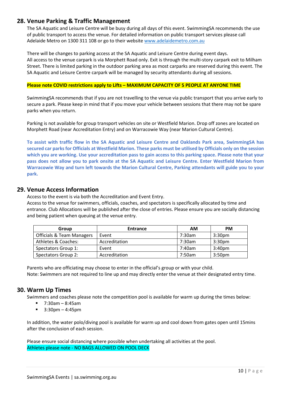# <span id="page-9-0"></span>**28. Venue Parking & Traffic Management**

The SA Aquatic and Leisure Centre will be busy during all days of this event. SwimmingSA recommends the use of public transport to access the venue. For detailed information on public transport services please call Adelaide Metro on 1300 311 108 or go to their website [www.adelaidemetro.com.au](http://www.adelaidemetro.com.au/)

There will be changes to parking access at the SA Aquatic and Leisure Centre during event days. All access to the venue carpark is via Morphett Road only. Exit is through the multi-story carpark exit to Milham Street. There is limited parking in the outdoor parking area as most carparks are reserved during this event. The SA Aquatic and Leisure Centre carpark will be managed by security attendants during all sessions.

## **Please note COVID restrictions apply to Lifts – MAXIMUM CAPACITY OF 5 PEOPLE AT ANYONE TIME**

SwimmingSA recommends that if you are not travelling to the venue via public transport that you arrive early to secure a park. Please keep in mind that if you move your vehicle between sessions that there may not be spare parks when you return.

Parking is not available for group transport vehicles on site or Westfield Marion. Drop off zones are located on Morphett Road (near Accreditation Entry) and on Warracowie Way (near Marion Cultural Centre).

**To assist with traffic flow in the SA Aquatic and Leisure Centre and Oaklands Park area, SwimmingSA has secured car parks for Officials at Westfield Marion. These parks must be utilised by Officials only on the session which you are working. Use your accreditation pass to gain access to this parking space. Please note that your pass does not allow you to park onsite at the SA Aquatic and Leisure Centre. Enter Westfield Marion from Warracowie Way and turn left towards the Marion Cultural Centre, Parking attendants will guide you to your park.**

# <span id="page-9-1"></span>**29. Venue Access Information**

Access to the event is via both the Accreditation and Event Entry.

Access to the venue for swimmers, officials, coaches, and spectators is specifically allocated by time and entrance. Club Allocations will be published after the close of entries. Please ensure you are socially distancing and being patient when queuing at the venue entry.

| Group                                | <b>Entrance</b> | ΑM     | <b>PM</b>          |
|--------------------------------------|-----------------|--------|--------------------|
| <b>Officials &amp; Team Managers</b> | Event           | 7:30am | 3:30 <sub>pm</sub> |
| Athletes & Coaches:                  | Accreditation   | 7:30am | 3:30 <sub>pm</sub> |
| Spectators Group 1:                  | Event           | 7:40am | 3:40 <sub>pm</sub> |
| Spectators Group 2:                  | Accreditation   | 7:50am | 3:50 <sub>pm</sub> |

Parents who are officiating may choose to enter in the official's group or with your child. Note: Swimmers are not required to line up and may directly enter the venue at their designated entry time.

# <span id="page-9-2"></span>**30. Warm Up Times**

Swimmers and coaches please note the competition pool is available for warm up during the times below:

- 7:30am 8:45am
- $\blacksquare$  3:30pm 4:45pm

In addition, the water polo/diving pool is available for warm up and cool down from gates open until 15mins after the conclusion of each session.

Please ensure social distancing where possible when undertaking all activities at the pool. Athletes please note - NO BAGS ALLOWED ON POOL DECK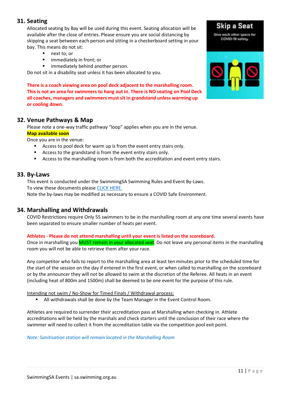# <span id="page-10-0"></span>**31. Seating**

Allocated seating by Bay will be used during this event. Seating allocation will be available after the close of entries. Please ensure you are social distancing by skipping a seat between each person and sitting in a checkerboard setting in your bay. This means do not sit:

- next to; or
- **·** immediately in front; or
- **F** immediately behind another person.

Do not sit in a disability seat unless it has been allocated to you.

**There is a coach viewing area on pool deck adjacent to the marshalling room. This is not an area for swimmers to hang out in. There is NO seating on Pool Deck all coaches, managers and swimmers must sit in grandstand unless warming up or cooling down.**

# <span id="page-10-1"></span>**32. Venue Pathways & Map**

Please note a one-way traffic pathway "loop" applies when you are in the venue. **Map available soon**

Once you are in the venue:

- Access to pool deck for warm up is from the event entry stairs only.
- **Access to the grandstand is from the event entry stairs only.**
- Access to the marshalling room is from both the accreditation and event entry stairs.

## <span id="page-10-2"></span>**33. By-Laws**

This event is conducted under the SwimmingSA Swimming Rules and Event By-Laws. To view these documents please [CLICK HERE.](https://sa.swimming.org.au/sites/default/files/assets/documents/1005%20-%20SSA%20Event%20By%20Laws%20-%20Updated%20October%202018.pdf)

Note the by-laws may be modified as necessary to ensure a COVID Safe Environment.

# <span id="page-10-3"></span>**34. Marshalling and Withdrawals**

COVID Restrictions require Only 55 swimmers to be in the marshalling room at any one time several events have been separated to ensure smaller number of heats per event.

#### **Athletes - Please do not attend marshalling until your event is listed on the scoreboard.**

Once in marshalling you **MUST remain in your allocated seat**. Do not leave any personal items in the marshalling room you will not be able to retrieve them after your race.

Any competitor who fails to report to the marshalling area at least ten minutes prior to the scheduled time for the start of the session on the day if entered in the first event, or when called to marshalling on the scoreboard or by the announcer they will not be allowed to swim at the discretion of the Referee. All heats in an event (including heat of 800m and 1500m) shall be deemed to be one event for the purpose of this rule.

Intending not swim / No-Show for Timed Finals / Withdrawal process:

All withdrawals shall be done by the Team Manager in the Event Control Room.

Athletes are required to surrender their accreditation pass at Marshalling when checking in. Athlete accreditations will be held by the marshals and check starters until the conclusion of their race where the swimmer will need to collect it from the accreditation table via the competition pool exit point.

*Note: Sanitisation station will remain located in the Marshalling Room*

# **Skip a Seat**

Give each other space for COVID-19 safety.

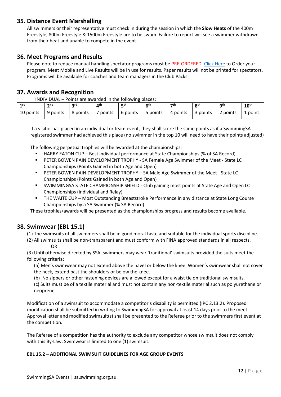# <span id="page-11-0"></span>**35. Distance Event Marshalling**

All swimmers or their representative must check in during the session in which the **Slow Heats** of the 400m Freestyle, 800m Freestyle & 1500m Freestyle are to be swum. Failure to report will see a swimmer withdrawn from their heat and unable to compete in the event.

# <span id="page-11-1"></span>**36. Meet Programs and Results**

Please note to reduce manual handling spectator programs must be PRE-ORDERED. [Click Here](https://swimcentral.swimming.org.au/bounce?returnUrl=%2Fevents%2F96161179-71e9-41da-91bd-c02212cf2a45%2Ftickets) to Order your program. Meet Mobile and Live Results will be in use for results. Paper results will not be printed for spectators. Programs will be available for coaches and team managers in the Club Packs.

# <span id="page-11-2"></span>**37. Awards and Recognition**

INDIVIDUAL – Points are awarded in the following places:

| 1st       | າກd      | າrd      | $\mathbf{A}^{\text{th}}$ | rth.        | cth      | っth      | 8 <sup>th</sup> | <b>ath</b>  | $10^{\text{th}}$ |
|-----------|----------|----------|--------------------------|-------------|----------|----------|-----------------|-------------|------------------|
| 10 points | 9 points | 8 points | points                   | points<br>ь | 5 points | 4 points | 3 points        | points<br>▵ | 1 point          |

If a visitor has placed in an individual or team event, they shall score the same points as if a SwimmingSA registered swimmer had achieved this place (no swimmer in the top 10 will need to have their points adjusted)

The following perpetual trophies will be awarded at the championships:

- HARRY EATON CUP Best individual performance at State Championships (% of SA Record)
- PETER BOWEN PAIN DEVELOPMENT TROPHY SA Female Age Swimmer of the Meet State LC Championships (Points Gained in both Age and Open)
- PETER BOWEN PAIN DEVELOPMENT TROPHY SA Male Age Swimmer of the Meet State LC Championships (Points Gained in both Age and Open)
- SWIMMINGSA STATE CHAMPIONSHIP SHIELD Club gaining most points at State Age and Open LC Championships (individual and Relay)
- THE WAITE CUP Most Outstanding Breaststroke Performance in any distance at State Long Course Championships by a SA Swimmer (% SA Record)

These trophies/awards will be presented as the championships progress and results become available.

# <span id="page-11-3"></span>**38. Swimwear (EBL 15.1)**

(1) The swimsuits of all swimmers shall be in good moral taste and suitable for the individual sports discipline.

(2) All swimsuits shall be non-transparent and must conform with FINA approved standards in all respects. OR

(3) Until otherwise directed by SSA, swimmers may wear 'traditional' swimsuits provided the suits meet the following criteria:

(a) Men's swimwear may not extend above the navel or below the knee. Women's swimwear shall not cover the neck, extend past the shoulders or below the knee.

(b) No zippers or other fastening devices are allowed except for a waist tie on traditional swimsuits.

(c) Suits must be of a textile material and must not contain any non-textile material such as polyurethane or neoprene.

Modification of a swimsuit to accommodate a competitor's disability is permitted (IPC 2.13.2). Proposed modification shall be submitted in writing to SwimmingSA for approval at least 14 days prior to the meet. Approval letter and modified swimsuit(s) shall be presented to the Referee prior to the swimmers first event at the competition.

The Referee of a competition has the authority to exclude any competitor whose swimsuit does not comply with this By-Law. Swimwear is limited to one (1) swimsuit.

# **EBL 15.2 – ADDITIONAL SWIMSUIT GUIDELINES FOR AGE GROUP EVENTS**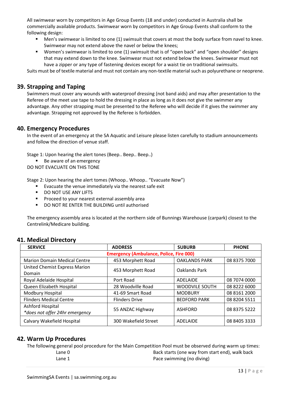All swimwear worn by competitors in Age Group Events (18 and under) conducted in Australia shall be commercially available products. Swimwear worn by competitors in Age Group Events shall conform to the following design:

- Men's swimwear is limited to one (1) swimsuit that covers at most the body surface from navel to knee. Swimwear may not extend above the navel or below the knees;
- Women's swimwear is limited to one (1) swimsuit that is of "open back" and "open shoulder" designs that may extend down to the knee. Swimwear must not extend below the knees. Swimwear must not have a zipper or any type of fastening devices except for a waist tie on traditional swimsuits.

Suits must be of textile material and must not contain any non-textile material such as polyurethane or neoprene.

# <span id="page-12-0"></span>**39. Strapping and Taping**

Swimmers must cover any wounds with waterproof dressing (not band aids) and may after presentation to the Referee of the meet use tape to hold the dressing in place as long as it does not give the swimmer any advantage. Any other strapping must be presented to the Referee who will decide if it gives the swimmer any advantage. Strapping not approved by the Referee is forbidden.

# <span id="page-12-1"></span>**40. Emergency Procedures**

In the event of an emergency at the SA Aquatic and Leisure please listen carefully to stadium announcements and follow the direction of venue staff.

Stage 1: Upon hearing the alert tones (Beep.. Beep.. Beep..)

■ Be aware of an emergency

DO NOT EVACUATE ON THIS TONE

Stage 2: Upon hearing the alert tomes (Whoop.. Whoop.. "Evacuate Now")

- Evacuate the venue immediately via the nearest safe exit
- **DO NOT USE ANY LIFTS**
- **Proceed to your nearest external assembly area**
- **DO NOT RE ENTER THE BUILDING until authorised**

The emergency assembly area is located at the northern side of Bunnings Warehouse (carpark) closest to the Centrelink/Medicare building.

# <span id="page-12-2"></span>**41. Medical Directory**

| <b>SERVICE</b>                                     | <b>ADDRESS</b>        | <b>SUBURB</b>         | <b>PHONE</b> |  |  |
|----------------------------------------------------|-----------------------|-----------------------|--------------|--|--|
| <b>Emergency (Ambulance, Police, Fire 000)</b>     |                       |                       |              |  |  |
| <b>Marion Domain Medical Centre</b>                | 453 Morphett Road     | <b>OAKLANDS PARK</b>  | 08 8375 7000 |  |  |
| United Chemist Express Marion<br>Domain            | 453 Morphett Road     | Oaklands Park         |              |  |  |
| Royal Adelaide Hospital                            | Port Road             | ADELAIDE              | 08 7074 0000 |  |  |
| Queen Elizabeth Hospital                           | 28 Woodville Road     | <b>WOODVILE SOUTH</b> | 08 8222 6000 |  |  |
| Modbury Hospital                                   | 41-69 Smart Road      | <b>MODBURY</b>        | 08 8161 2000 |  |  |
| <b>Flinders Medical Centre</b>                     | <b>Flinders Drive</b> | <b>BEDFORD PARK</b>   | 08 8204 5511 |  |  |
| Ashford Hospital<br>*does not offer 24hr emergency | 55 ANZAC Highway      | <b>ASHFORD</b>        | 08 8375 5222 |  |  |
| Calvary Wakefield Hospital                         | 300 Wakefield Street  | ADELAIDE              | 08 8405 3333 |  |  |

# <span id="page-12-3"></span>**42. Warm Up Procedures**

The following general pool procedure for the Main Competition Pool must be observed during warm up times:

Lane 0 **Back starts (one way from start end)**, walk back Lane 1 **Pace swimming (no diving)**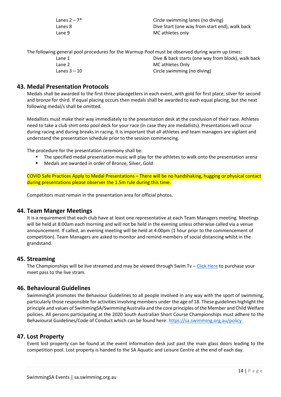| Lanes $2 - 7^*$ | Circle swimming lanes (no diving)              |
|-----------------|------------------------------------------------|
| Lanes 8         | Dive Start (one way from start end), walk back |
| Lane 9          | MC athletes only                               |

The following general pool procedures for the Warmup Pool must be observed during warm up times:

| Lane 1       | Dive & back starts (one way from block), walk back |
|--------------|----------------------------------------------------|
| Lane 2       | MC athletes Only                                   |
| Lanes 3 – 10 | Circle swimming (no diving)                        |

# <span id="page-13-0"></span>**43. Medal Presentation Protocols**

Medals shall be awarded to the first three placegetters in each event, with gold for first place, silver for second and bronze for third. If equal placing occurs then medals shall be awarded to each equal placing, but the next following medal/s shall be omitted.

Medallists must make their way immediately to the presentation desk at the conclusion of their race. Athletes need to take a club shirt onto pool deck for your race (in case they are medallists). Presentations will occur during racing and during breaks in racing. It is important that all athletes and team managers are vigilant and understand the presentation schedule prior to the session commencing.

The procedure for the presentation ceremony shall be:

- **The specified medal presentation music will play for the athletes to walk onto the presentation arena**
- Medals are awarded in order of Bronze, Silver, Gold

COVID Safe Practices Apply to Medal Presentations – There will be no handshaking, hugging or physical contact during presentations please observer the 1.5m rule during this time.

Competitors must remain in the presentation area for official photos.

# <span id="page-13-1"></span>**44. Team Manger Meetings**

It is a requirement that each club have at least one representative at each Team Managers meeting. Meetings will be held at 8:00am each morning and will not be held in the evening unless otherwise called via a venue announcement. If called, an evening meeting will be held at 4:00pm (1 hour prior to the commencement of competition). Team Managers are asked to monitor and remind members of social distancing whilst in the grandstand.

# <span id="page-13-2"></span>**45. Streaming**

The Championships will be live streamed and may be viewed through Swim Tv – [Click Here](https://swimtv.com.au/events/2021-south-australian-age-lc-championships/) to purchase your meet pass to the live stram.

# <span id="page-13-3"></span>**46. Behavioural Guidelines**

SwimmingSA promotes the Behaviour Guidelines to all people involved in any way with the sport of swimming, particularly those responsible for activities involving members under the age of 18. These guidelines highlight the principle and values of SwimmingSA/Swimming Australia and the core principles of the Member and Child Welfare policies. All persons participating at the 2020 South Australian Short Course Championships must adhere to the Behavioural Guidelines/Code of Conduct which can be found here:<https://sa.swimming.org.au/policy>

# <span id="page-13-4"></span>**47. Lost Property**

Event lost property can be found at the event information desk just past the main glass doors leading to the competition pool. Lost property is handed to the SA Aquatic and Leisure Centre at the end of each day.